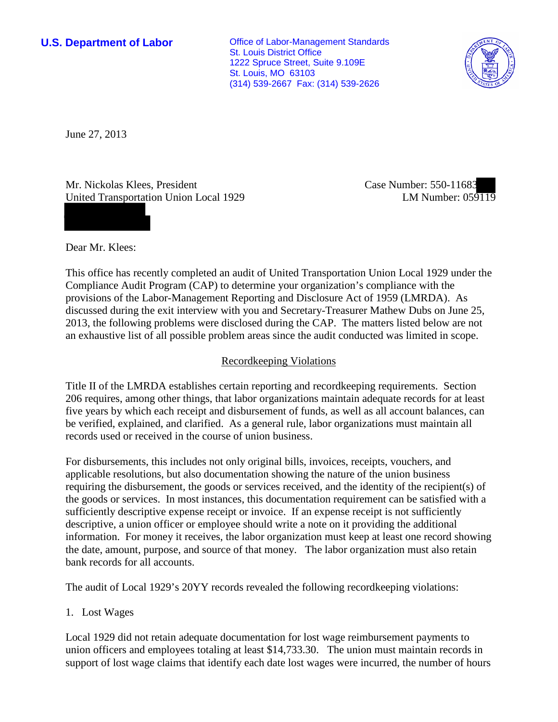**U.S. Department of Labor Office of Labor-Management Standards** St. Louis District Office 1222 Spruce Street, Suite 9.109E St. Louis, MO 63103 (314) 539-2667 Fax: (314) 539-2626



June 27, 2013

Mr. Nickolas Klees, President United Transportation Union Local 1929 Case Number: 550-11683 LM Number: 059119

Dear Mr. Klees:

This office has recently completed an audit of United Transportation Union Local 1929 under the Compliance Audit Program (CAP) to determine your organization's compliance with the provisions of the Labor-Management Reporting and Disclosure Act of 1959 (LMRDA). As discussed during the exit interview with you and Secretary-Treasurer Mathew Dubs on June 25, 2013, the following problems were disclosed during the CAP. The matters listed below are not an exhaustive list of all possible problem areas since the audit conducted was limited in scope.

## Recordkeeping Violations

Title II of the LMRDA establishes certain reporting and recordkeeping requirements. Section 206 requires, among other things, that labor organizations maintain adequate records for at least five years by which each receipt and disbursement of funds, as well as all account balances, can be verified, explained, and clarified. As a general rule, labor organizations must maintain all records used or received in the course of union business.

For disbursements, this includes not only original bills, invoices, receipts, vouchers, and applicable resolutions, but also documentation showing the nature of the union business requiring the disbursement, the goods or services received, and the identity of the recipient(s) of the goods or services. In most instances, this documentation requirement can be satisfied with a sufficiently descriptive expense receipt or invoice. If an expense receipt is not sufficiently descriptive, a union officer or employee should write a note on it providing the additional information. For money it receives, the labor organization must keep at least one record showing the date, amount, purpose, and source of that money. The labor organization must also retain bank records for all accounts.

The audit of Local 1929's 20YY records revealed the following recordkeeping violations:

1. Lost Wages

Local 1929 did not retain adequate documentation for lost wage reimbursement payments to union officers and employees totaling at least \$14,733.30. The union must maintain records in support of lost wage claims that identify each date lost wages were incurred, the number of hours